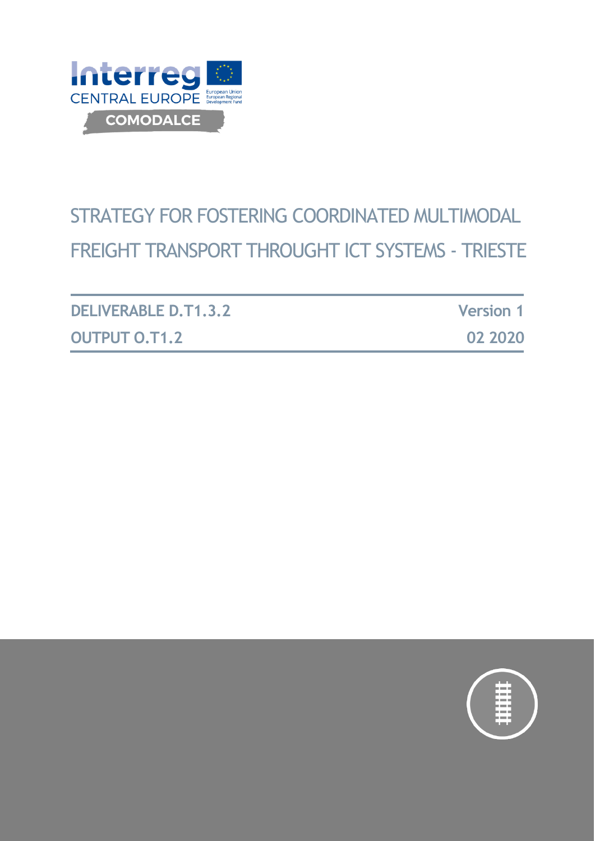

# STRATEGY FOR FOSTERING COORDINATED MULTIMODAL FREIGHT TRANSPORT THROUGHT ICT SYSTEMS - TRIESTE

| <b>DELIVERABLE D.T1.3.2</b> | <b>Version 1</b> |
|-----------------------------|------------------|
| <b>OUTPUT O.T1.2</b>        | 02 2020          |

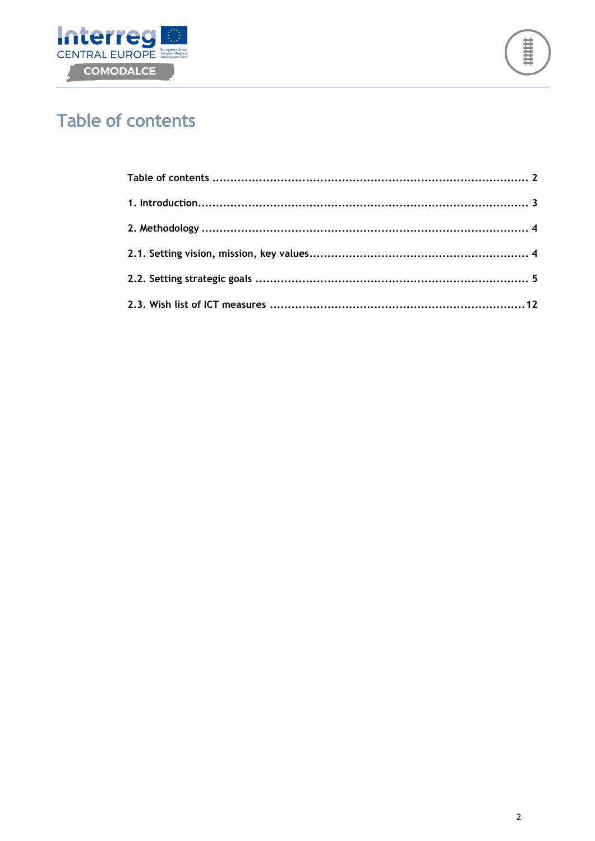



## <span id="page-1-0"></span>**Table of contents**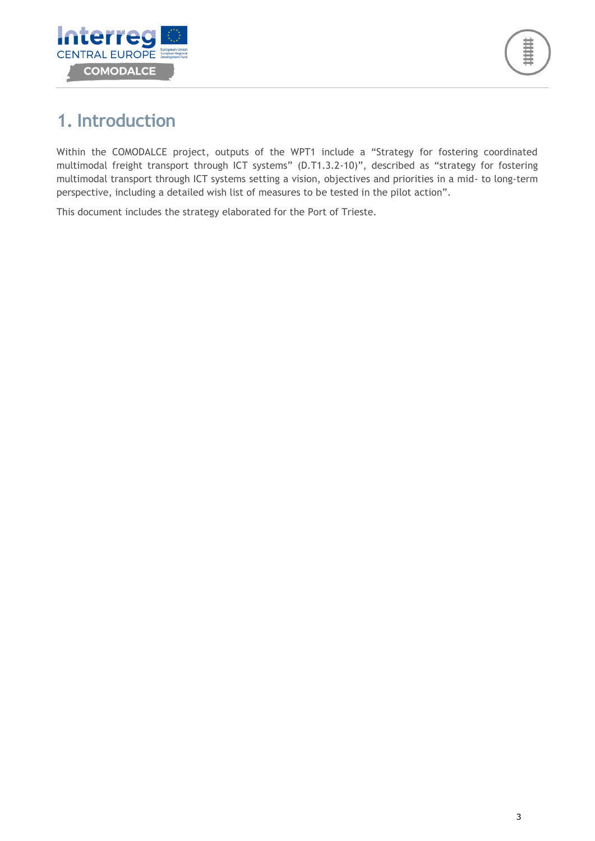

## <span id="page-2-0"></span>**1. Introduction**

Within the COMODALCE project, outputs of the WPT1 include a "Strategy for fostering coordinated multimodal freight transport through ICT systems" (D.T1.3.2-10)", described as "strategy for fostering multimodal transport through ICT systems setting a vision, objectives and priorities in a mid- to long-term perspective, including a detailed wish list of measures to be tested in the pilot action".

This document includes the strategy elaborated for the Port of Trieste.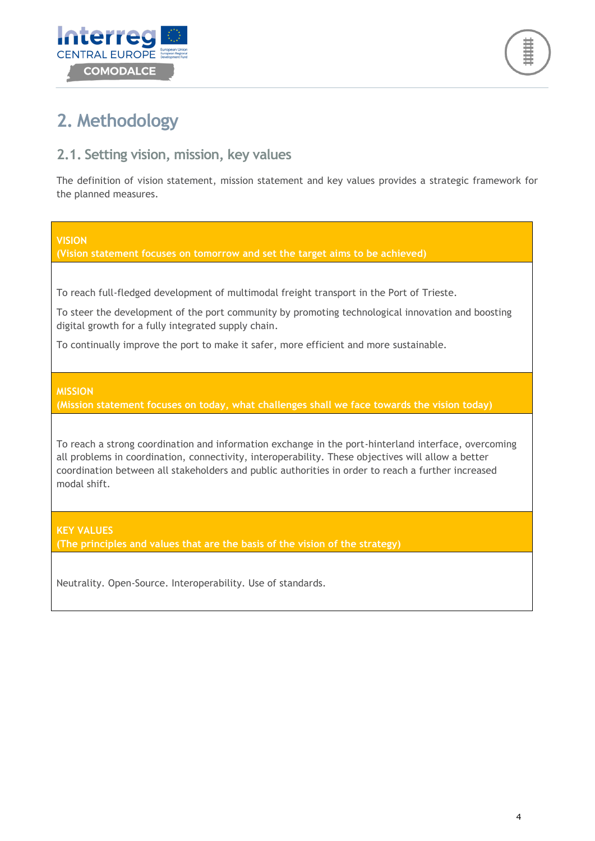



## <span id="page-3-0"></span>**2. Methodology**

### <span id="page-3-1"></span>**2.1. Setting vision, mission, key values**

The definition of vision statement, mission statement and key values provides a strategic framework for the planned measures.

#### **VISION**

**(Vision statement focuses on tomorrow and set the target aims to be achieved)**

To reach full-fledged development of multimodal freight transport in the Port of Trieste.

To steer the development of the port community by promoting technological innovation and boosting digital growth for a fully integrated supply chain.

To continually improve the port to make it safer, more efficient and more sustainable.

#### **MISSION**

**(Mission statement focuses on today, what challenges shall we face towards the vision today)**

To reach a strong coordination and information exchange in the port-hinterland interface, overcoming all problems in coordination, connectivity, interoperability. These objectives will allow a better coordination between all stakeholders and public authorities in order to reach a further increased modal shift.

**KEY VALUES**

**(The principles and values that are the basis of the vision of the strategy)**

Neutrality. Open-Source. Interoperability. Use of standards.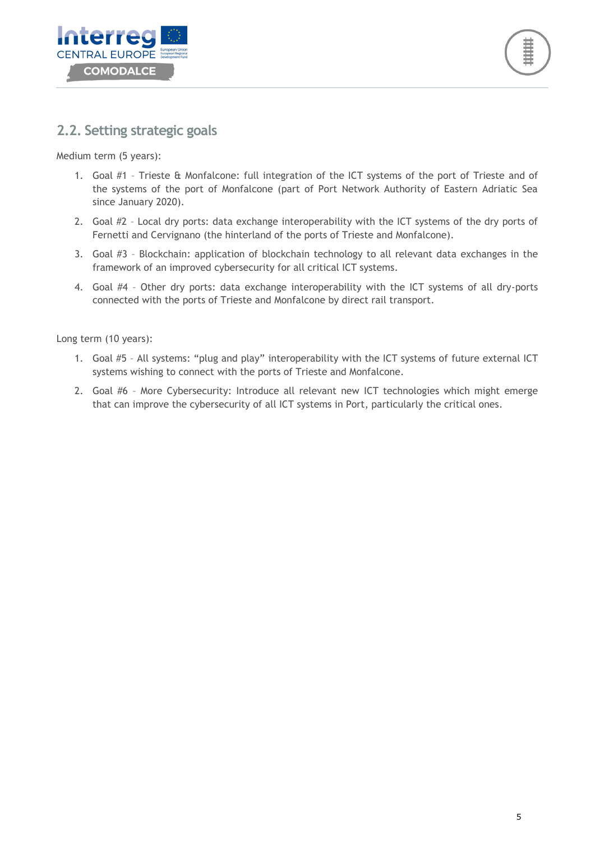



### <span id="page-4-0"></span>**2.2. Setting strategic goals**

Medium term (5 years):

- 1. Goal #1 Trieste & Monfalcone: full integration of the ICT systems of the port of Trieste and of the systems of the port of Monfalcone (part of Port Network Authority of Eastern Adriatic Sea since January 2020).
- 2. Goal #2 Local dry ports: data exchange interoperability with the ICT systems of the dry ports of Fernetti and Cervignano (the hinterland of the ports of Trieste and Monfalcone).
- 3. Goal #3 Blockchain: application of blockchain technology to all relevant data exchanges in the framework of an improved cybersecurity for all critical ICT systems.
- 4. Goal #4 Other dry ports: data exchange interoperability with the ICT systems of all dry-ports connected with the ports of Trieste and Monfalcone by direct rail transport.

Long term (10 years):

- 1. Goal #5 All systems: "plug and play" interoperability with the ICT systems of future external ICT systems wishing to connect with the ports of Trieste and Monfalcone.
- 2. Goal #6 More Cybersecurity: Introduce all relevant new ICT technologies which might emerge that can improve the cybersecurity of all ICT systems in Port, particularly the critical ones.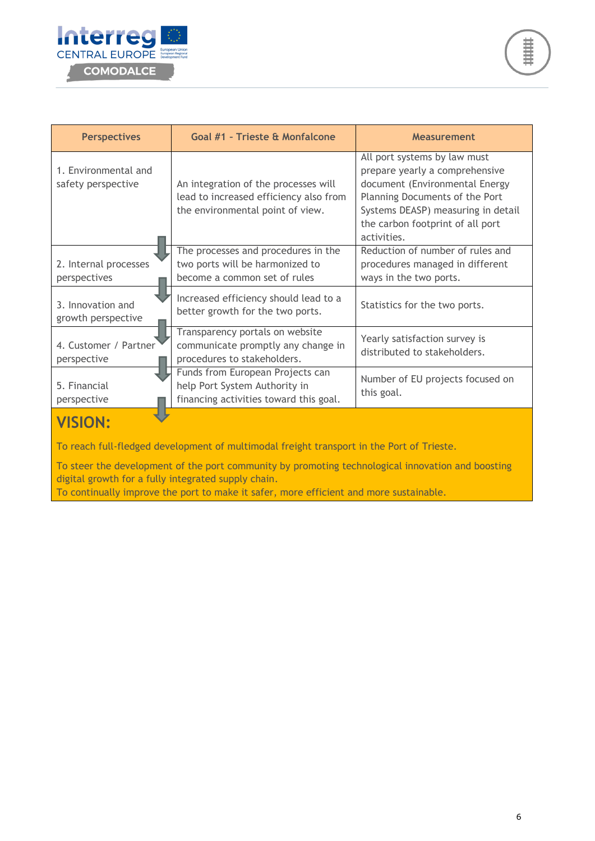

| <b>Perspectives</b>                        | Goal #1 - Trieste & Monfalcone<br><b>Measurement</b>                                                               |                                                                                                                                                                                                                             |  |
|--------------------------------------------|--------------------------------------------------------------------------------------------------------------------|-----------------------------------------------------------------------------------------------------------------------------------------------------------------------------------------------------------------------------|--|
| 1. Environmental and<br>safety perspective | An integration of the processes will<br>lead to increased efficiency also from<br>the environmental point of view. | All port systems by law must<br>prepare yearly a comprehensive<br>document (Environmental Energy<br>Planning Documents of the Port<br>Systems DEASP) measuring in detail<br>the carbon footprint of all port<br>activities. |  |
| 2. Internal processes<br>perspectives      | The processes and procedures in the<br>two ports will be harmonized to<br>become a common set of rules             | Reduction of number of rules and<br>procedures managed in different<br>ways in the two ports.                                                                                                                               |  |
| 3. Innovation and<br>growth perspective    | Increased efficiency should lead to a<br>better growth for the two ports.                                          | Statistics for the two ports.                                                                                                                                                                                               |  |
| 4. Customer / Partner<br>perspective       | Transparency portals on website<br>communicate promptly any change in<br>procedures to stakeholders.               | Yearly satisfaction survey is<br>distributed to stakeholders.                                                                                                                                                               |  |
| 5. Financial<br>perspective                | Funds from European Projects can<br>help Port System Authority in<br>financing activities toward this goal.        | Number of EU projects focused on<br>this goal.                                                                                                                                                                              |  |
|                                            |                                                                                                                    |                                                                                                                                                                                                                             |  |

To steer the development of the port community by promoting technological innovation and boosting digital growth for a fully integrated supply chain.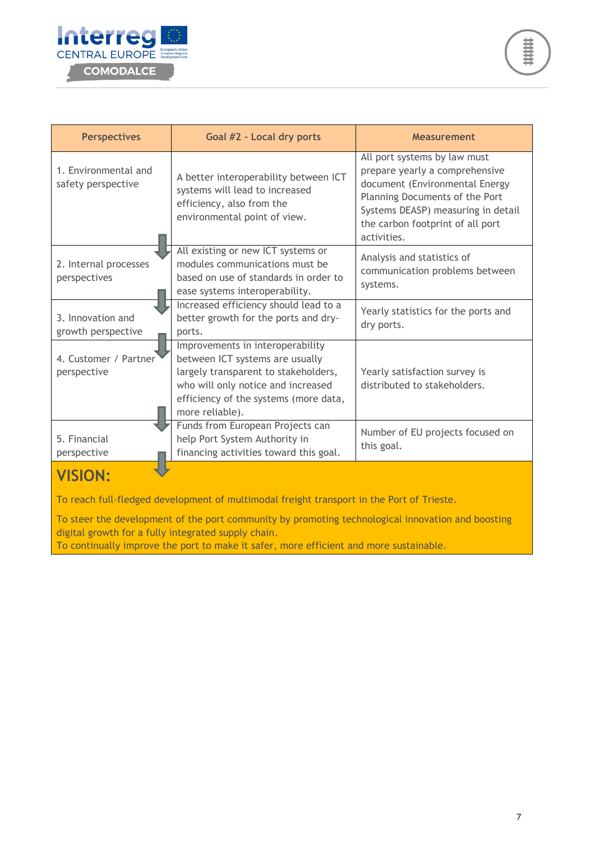

| <b>Perspectives</b>                        | Goal #2 - Local dry ports                                                                                                                                                                                     | <b>Measurement</b>                                                                                                                                                                                                          |  |
|--------------------------------------------|---------------------------------------------------------------------------------------------------------------------------------------------------------------------------------------------------------------|-----------------------------------------------------------------------------------------------------------------------------------------------------------------------------------------------------------------------------|--|
| 1. Environmental and<br>safety perspective | A better interoperability between ICT<br>systems will lead to increased<br>efficiency, also from the<br>environmental point of view.                                                                          | All port systems by law must<br>prepare yearly a comprehensive<br>document (Environmental Energy<br>Planning Documents of the Port<br>Systems DEASP) measuring in detail<br>the carbon footprint of all port<br>activities. |  |
| 2. Internal processes<br>perspectives      | All existing or new ICT systems or<br>modules communications must be<br>based on use of standards in order to<br>ease systems interoperability.                                                               | Analysis and statistics of<br>communication problems between<br>systems.                                                                                                                                                    |  |
| 3. Innovation and<br>growth perspective    | Increased efficiency should lead to a<br>better growth for the ports and dry-<br>ports.                                                                                                                       | Yearly statistics for the ports and<br>dry ports.                                                                                                                                                                           |  |
| 4. Customer / Partner<br>perspective       | Improvements in interoperability<br>between ICT systems are usually<br>largely transparent to stakeholders,<br>who will only notice and increased<br>efficiency of the systems (more data,<br>more reliable). | Yearly satisfaction survey is<br>distributed to stakeholders.                                                                                                                                                               |  |
| 5. Financial<br>perspective                | Funds from European Projects can<br>help Port System Authority in<br>financing activities toward this goal.                                                                                                   | Number of EU projects focused on<br>this goal.                                                                                                                                                                              |  |
| <b>VISION:</b>                             |                                                                                                                                                                                                               |                                                                                                                                                                                                                             |  |

To steer the development of the port community by promoting technological innovation and boosting digital growth for a fully integrated supply chain.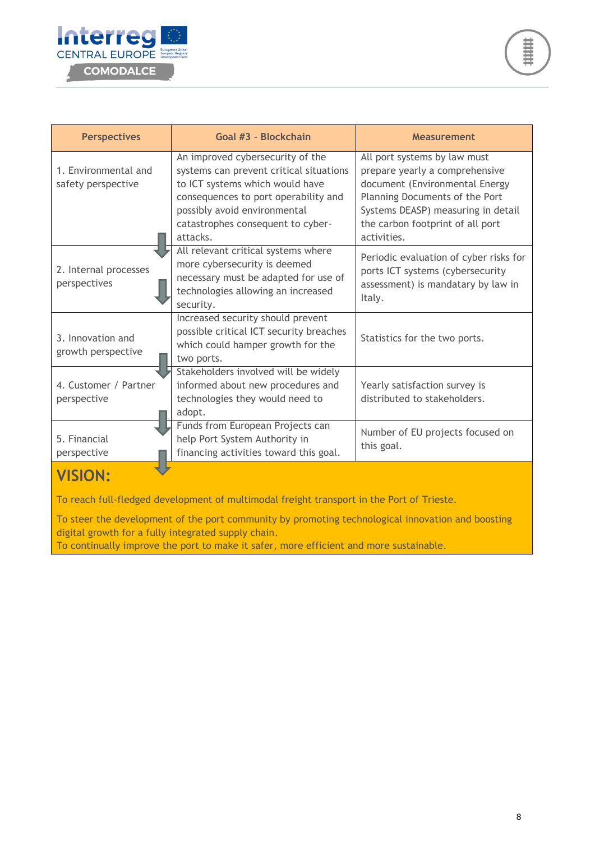

| <b>Perspectives</b>                        | Goal #3 - Blockchain                                                                                                                                                                                                                    | <b>Measurement</b>                                                                                                                                                                                                          |  |
|--------------------------------------------|-----------------------------------------------------------------------------------------------------------------------------------------------------------------------------------------------------------------------------------------|-----------------------------------------------------------------------------------------------------------------------------------------------------------------------------------------------------------------------------|--|
| 1. Environmental and<br>safety perspective | An improved cybersecurity of the<br>systems can prevent critical situations<br>to ICT systems which would have<br>consequences to port operability and<br>possibly avoid environmental<br>catastrophes consequent to cyber-<br>attacks. | All port systems by law must<br>prepare yearly a comprehensive<br>document (Environmental Energy<br>Planning Documents of the Port<br>Systems DEASP) measuring in detail<br>the carbon footprint of all port<br>activities. |  |
| 2. Internal processes<br>perspectives      | All relevant critical systems where<br>more cybersecurity is deemed<br>necessary must be adapted for use of<br>technologies allowing an increased<br>security.                                                                          | Periodic evaluation of cyber risks for<br>ports ICT systems (cybersecurity<br>assessment) is mandatary by law in<br>Italy.                                                                                                  |  |
| 3. Innovation and<br>growth perspective    | Increased security should prevent<br>possible critical ICT security breaches<br>which could hamper growth for the<br>two ports.                                                                                                         | Statistics for the two ports.                                                                                                                                                                                               |  |
| 4. Customer / Partner<br>perspective       | Stakeholders involved will be widely<br>informed about new procedures and<br>technologies they would need to<br>adopt.                                                                                                                  | Yearly satisfaction survey is<br>distributed to stakeholders.                                                                                                                                                               |  |
| 5. Financial<br>perspective                | Funds from European Projects can<br>help Port System Authority in<br>financing activities toward this goal.                                                                                                                             | Number of EU projects focused on<br>this goal.                                                                                                                                                                              |  |
| <b>VISION:</b>                             |                                                                                                                                                                                                                                         |                                                                                                                                                                                                                             |  |

To steer the development of the port community by promoting technological innovation and boosting digital growth for a fully integrated supply chain.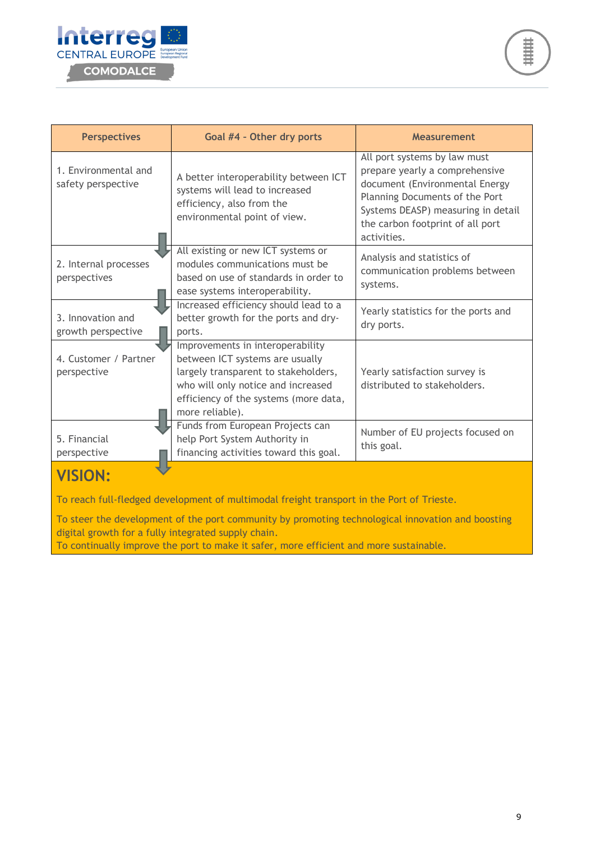

| <b>Perspectives</b>                        | Goal #4 - Other dry ports                                                                                                                                                                                     | <b>Measurement</b>                                                                                                                                                                                                          |  |
|--------------------------------------------|---------------------------------------------------------------------------------------------------------------------------------------------------------------------------------------------------------------|-----------------------------------------------------------------------------------------------------------------------------------------------------------------------------------------------------------------------------|--|
| 1. Environmental and<br>safety perspective | A better interoperability between ICT<br>systems will lead to increased<br>efficiency, also from the<br>environmental point of view.                                                                          | All port systems by law must<br>prepare yearly a comprehensive<br>document (Environmental Energy<br>Planning Documents of the Port<br>Systems DEASP) measuring in detail<br>the carbon footprint of all port<br>activities. |  |
| 2. Internal processes<br>perspectives      | All existing or new ICT systems or<br>modules communications must be<br>based on use of standards in order to<br>ease systems interoperability.                                                               | Analysis and statistics of<br>communication problems between<br>systems.                                                                                                                                                    |  |
| 3. Innovation and<br>growth perspective    | Increased efficiency should lead to a<br>better growth for the ports and dry-<br>ports.                                                                                                                       | Yearly statistics for the ports and<br>dry ports.                                                                                                                                                                           |  |
| 4. Customer / Partner<br>perspective       | Improvements in interoperability<br>between ICT systems are usually<br>largely transparent to stakeholders,<br>who will only notice and increased<br>efficiency of the systems (more data,<br>more reliable). | Yearly satisfaction survey is<br>distributed to stakeholders.                                                                                                                                                               |  |
| 5. Financial<br>perspective                | Funds from European Projects can<br>help Port System Authority in<br>financing activities toward this goal.                                                                                                   | Number of EU projects focused on<br>this goal.                                                                                                                                                                              |  |
| <b>VISION:</b>                             |                                                                                                                                                                                                               |                                                                                                                                                                                                                             |  |

To steer the development of the port community by promoting technological innovation and boosting digital growth for a fully integrated supply chain.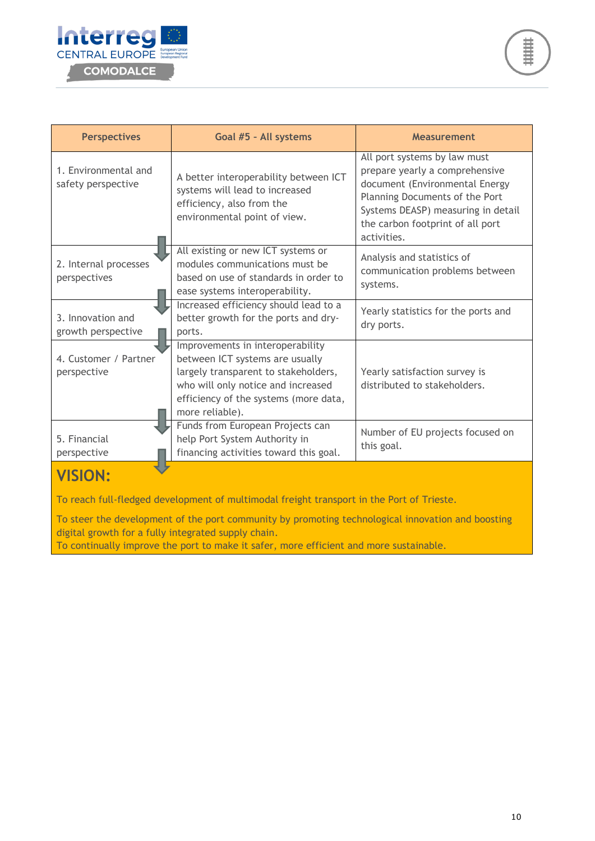

| <b>Perspectives</b>                        | Goal #5 - All systems                                                                                                                                                                                         | <b>Measurement</b>                                                                                                                                                                                                          |  |
|--------------------------------------------|---------------------------------------------------------------------------------------------------------------------------------------------------------------------------------------------------------------|-----------------------------------------------------------------------------------------------------------------------------------------------------------------------------------------------------------------------------|--|
| 1. Environmental and<br>safety perspective | A better interoperability between ICT<br>systems will lead to increased<br>efficiency, also from the<br>environmental point of view.                                                                          | All port systems by law must<br>prepare yearly a comprehensive<br>document (Environmental Energy<br>Planning Documents of the Port<br>Systems DEASP) measuring in detail<br>the carbon footprint of all port<br>activities. |  |
| 2. Internal processes<br>perspectives      | All existing or new ICT systems or<br>modules communications must be<br>based on use of standards in order to<br>ease systems interoperability.                                                               | Analysis and statistics of<br>communication problems between<br>systems.                                                                                                                                                    |  |
| 3. Innovation and<br>growth perspective    | Increased efficiency should lead to a<br>better growth for the ports and dry-<br>ports.                                                                                                                       | Yearly statistics for the ports and<br>dry ports.                                                                                                                                                                           |  |
| 4. Customer / Partner<br>perspective       | Improvements in interoperability<br>between ICT systems are usually<br>largely transparent to stakeholders,<br>who will only notice and increased<br>efficiency of the systems (more data,<br>more reliable). | Yearly satisfaction survey is<br>distributed to stakeholders.                                                                                                                                                               |  |
| 5. Financial<br>perspective                | Funds from European Projects can<br>help Port System Authority in<br>financing activities toward this goal.                                                                                                   | Number of EU projects focused on<br>this goal.                                                                                                                                                                              |  |
|                                            |                                                                                                                                                                                                               |                                                                                                                                                                                                                             |  |

To steer the development of the port community by promoting technological innovation and boosting digital growth for a fully integrated supply chain.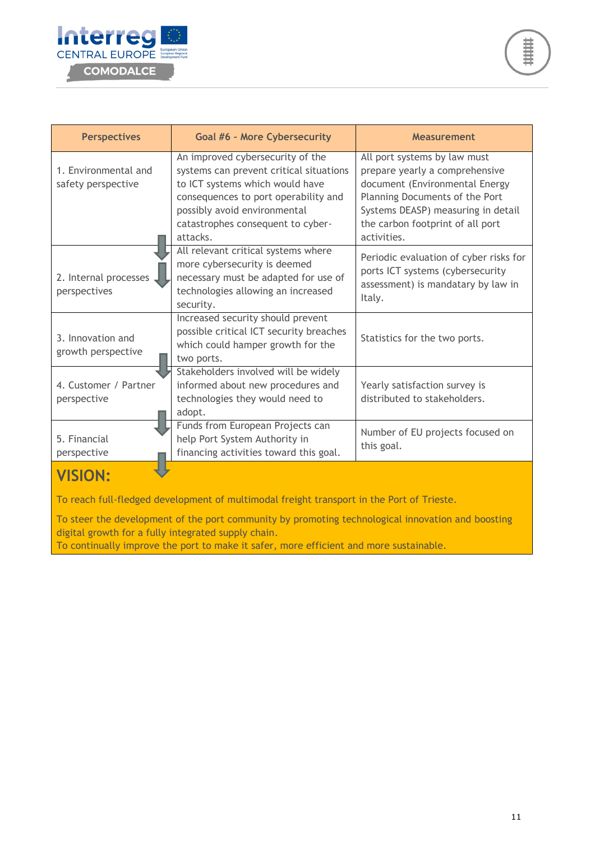

| <b>Perspectives</b>                          | <b>Goal #6 - More Cybersecurity</b>                                                                                                                                                                                                     | <b>Measurement</b>                                                                                                                                                                                                                                                                                                                                        |  |
|----------------------------------------------|-----------------------------------------------------------------------------------------------------------------------------------------------------------------------------------------------------------------------------------------|-----------------------------------------------------------------------------------------------------------------------------------------------------------------------------------------------------------------------------------------------------------------------------------------------------------------------------------------------------------|--|
| 1. Environmental and<br>safety perspective   | An improved cybersecurity of the<br>systems can prevent critical situations<br>to ICT systems which would have<br>consequences to port operability and<br>possibly avoid environmental<br>catastrophes consequent to cyber-<br>attacks. | All port systems by law must<br>prepare yearly a comprehensive<br>document (Environmental Energy<br>Planning Documents of the Port<br>Systems DEASP) measuring in detail<br>the carbon footprint of all port<br>activities.<br>Periodic evaluation of cyber risks for<br>ports ICT systems (cybersecurity<br>assessment) is mandatary by law in<br>Italy. |  |
| 2. Internal processes<br>perspectives        | All relevant critical systems where<br>more cybersecurity is deemed<br>necessary must be adapted for use of<br>technologies allowing an increased<br>security.                                                                          |                                                                                                                                                                                                                                                                                                                                                           |  |
| 3. Innovation and<br>growth perspective      | Increased security should prevent<br>possible critical ICT security breaches<br>which could hamper growth for the<br>two ports.                                                                                                         | Statistics for the two ports.                                                                                                                                                                                                                                                                                                                             |  |
| 4. Customer / Partner<br>perspective         | Stakeholders involved will be widely<br>informed about new procedures and<br>technologies they would need to<br>adopt.                                                                                                                  | Yearly satisfaction survey is<br>distributed to stakeholders.                                                                                                                                                                                                                                                                                             |  |
| 5. Financial<br>perspective<br><b>WICLON</b> | Funds from European Projects can<br>help Port System Authority in<br>financing activities toward this goal.                                                                                                                             | Number of EU projects focused on<br>this goal.                                                                                                                                                                                                                                                                                                            |  |

## **VISION:**

To reach full-fledged development of multimodal freight transport in the Port of Trieste.

To steer the development of the port community by promoting technological innovation and boosting digital growth for a fully integrated supply chain.